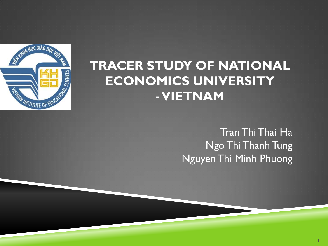

### **TRACER STUDY OF NATIONAL ECONOMICS UNIVERSITY -VIETNAM**

Tran ThiThai Ha Ngo Thi Thanh Tung Nguyen Thi Minh Phuong

**1**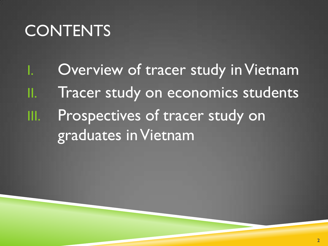# **CONTENTS**

Overview of tracer study in Vietnam II. Tracer study on economics students III. Prospectives of tracer study on graduates in Vietnam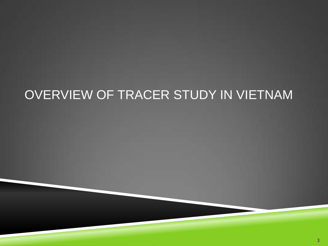# OVERVIEW OF TRACER STUDY IN VIETNAM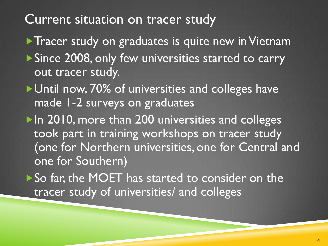### Current situation on tracer study

Tracer study on graduates is quite new in Vietnam ▶ Since 2008, only few universities started to carry out tracer study.

▶ Until now, 70% of universities and colleges have made 1-2 surveys on graduates

▶ In 2010, more than 200 universities and colleges took part in training workshops on tracer study (one for Northern universities, one for Central and one for Southern)

So far, the MOET has started to consider on the tracer study of universities/ and colleges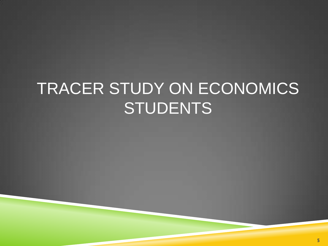# TRACER STUDY ON ECONOMICS **STUDENTS**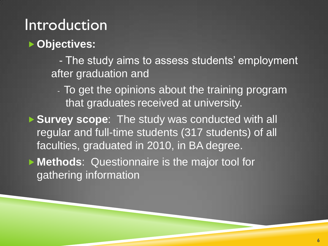# Introduction

#### **Objectives:**

 - The study aims to assess students' employment after graduation and

- To get the opinions about the training program that graduates received at university.

 **Survey scope**: The study was conducted with all regular and full-time students (317 students) of all faculties, graduated in 2010, in BA degree.

 **Methods**: Questionnaire is the major tool for gathering information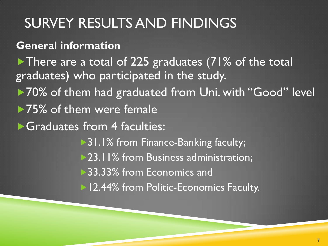# SURVEY RESULTS AND FINDINGS

**General information**

There are a total of 225 graduates (71% of the total graduates) who participated in the study.

- ▶70% of them had graduated from Uni. with "Good" level
- ▶75% of them were female

Graduates from 4 faculties:

▶ 31.1% from Finance-Banking faculty; >23.11% from Business administration; ▶ 33.33% from Economics and 12.44% from Politic-Economics Faculty.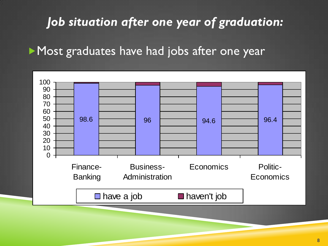### *Job situation after one year of graduation:*

Most graduates have had jobs after one year

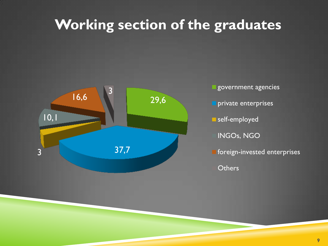# **Working section of the graduates**



government agencies **private enterprises** self-employed INGOs, NGO **foreign-invested enterprises Others**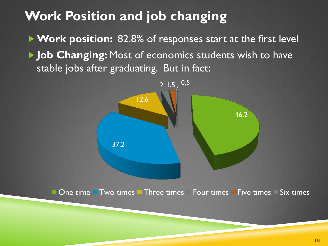### **Work Position and job changing**

▶ Work position: 82.8% of responses start at the first level **I** Job Changing: Most of economics students wish to have stable jobs after graduating. But in fact:

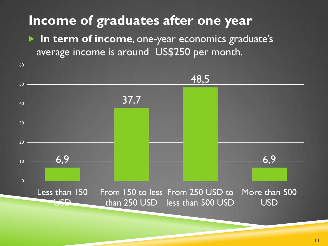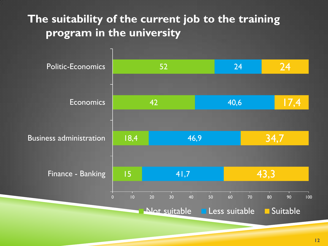#### **The suitability of the current job to the training program in the university**

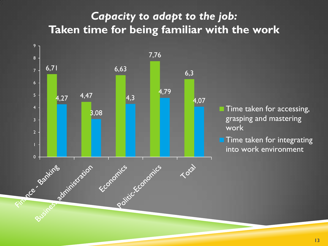#### *Capacity to adapt to the job:* **Taken time for being familiar with the work**

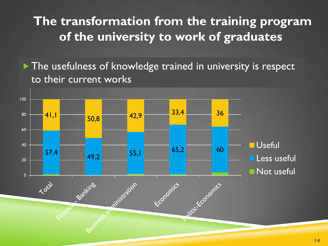### **The transformation from the training program of the university to work of graduates**

The usefulness of knowledge trained in university is respect to their current works

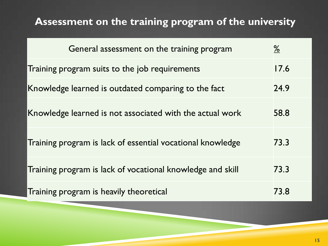#### **Assessment on the training program of the university**

| General assessment on the training program                 | $\frac{\%}{\%}$ |
|------------------------------------------------------------|-----------------|
| Training program suits to the job requirements             | 17.6            |
| Knowledge learned is outdated comparing to the fact        | 24.9            |
| Knowledge learned is not associated with the actual work   | 58.8            |
| Training program is lack of essential vocational knowledge | 73.3            |
| Training program is lack of vocational knowledge and skill | 73.3            |
| Training program is heavily theoretical                    | 73.8            |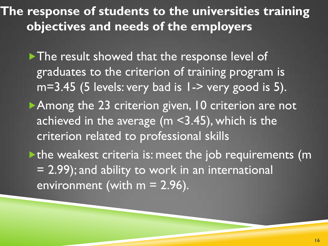**The response of students to the universities training objectives and needs of the employers**

The result showed that the response level of graduates to the criterion of training program is  $m=3.45$  (5 levels: very bad is  $1-$  very good is 5). Among the 23 criterion given, 10 criterion are not achieved in the average (m <3.45), which is the criterion related to professional skills  $\blacktriangleright$  the weakest criteria is: meet the job requirements (m = 2.99); and ability to work in an international environment (with  $m = 2.96$ ).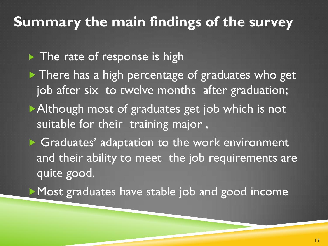### **Summary the main findings of the survey**

 $\blacktriangleright$  The rate of response is high

 $\blacktriangleright$  There has a high percentage of graduates who get job after six to twelve months after graduation; Although most of graduates get job which is not suitable for their training major,

▶ Graduates' adaptation to the work environment and their ability to meet the job requirements are quite good.

Most graduates have stable job and good income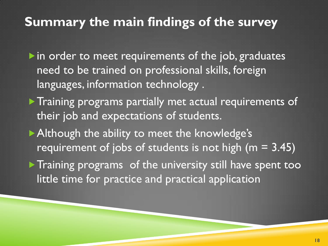### **Summary the main findings of the survey**

 $\blacktriangleright$  in order to meet requirements of the job, graduates need to be trained on professional skills, foreign languages, information technology .

- **Training programs partially met actual requirements of** their job and expectations of students.
- Although the ability to meet the knowledge's requirement of jobs of students is not high  $(m = 3.45)$
- **Training programs** of the university still have spent too little time for practice and practical application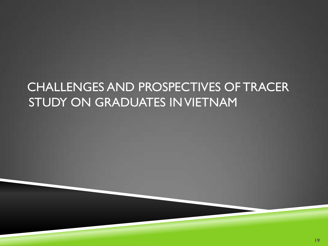# CHALLENGES AND PROSPECTIVES OF TRACER STUDY ON GRADUATES IN VIETNAM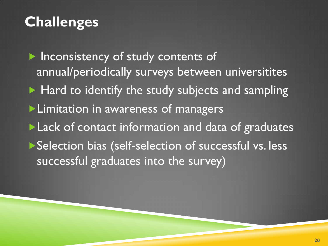# **Challenges**

**Inconsistency of study contents of** annual/periodically surveys between universitites  $\blacktriangleright$  Hard to identify the study subjects and sampling **Limitation in awareness of managers Lack of contact information and data of graduates** ▶ Selection bias (self-selection of successful vs. less successful graduates into the survey)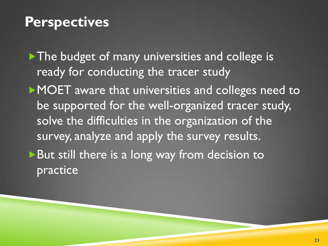### **Perspectives**

The budget of many universities and college is ready for conducting the tracer study

MOET aware that universities and colleges need to be supported for the well-organized tracer study, solve the difficulties in the organization of the survey, analyze and apply the survey results. ▶ But still there is a long way from decision to practice